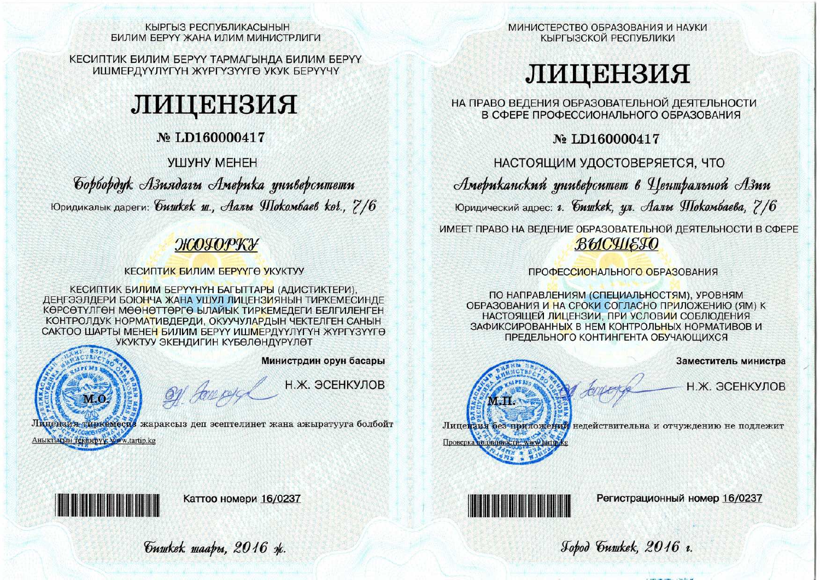#### КЫРГЫЗ РЕСПУБЛИКАСЫНЫН БИЛИМ БЕРҮҮ ЖАНА ИЛИМ МИНИСТРЛИГИ

КЕСИПТИК БИЛИМ БЕРҮҮ ТАРМАГЫНДА БИЛИМ БЕРҮҮ ИШМЕРДҮҮЛҮГҮН ЖҮРГҮЗҮҮГӨ УКУК БЕРҮҮЧҮ

# ЛИЦЕНЗИЯ

# No LD160000417

# **VIIIVHY MEHEH**

Gopbopdyk Азиядагы Америка университети Юридикалык дареги: *бишкек ш., Аалы Шокомбаев ког.*, 7/6

# ЖОГОРКУ

## **КЕСИПТИК БИЛИМ БЕРҮҮГӨ УКУКТУУ**

КЕСИПТИК БИЛИМ БЕРҮҮНҮН БАГЫТТАРЫ (АДИСТИКТЕРИ), ДЕНГЭЭЛДЕРИ БОЮНЧА ЖАНА УШУЛ ЛИЦЕНЗИЯНЫН ТИРКЕМЕСИНДЕ КӨРСӨТҮЛГӨН МӨӨНӨТТӨРГӨ ЫЛАЙЫК ТИРКЕМЕЛЕГИ БЕЛГИЛЕНГЕН КОНТРОЛДУК НОРМАТИВДЕРДИ, ОКУУЧУЛАРДЫН ЧЕКТЕЛГЕН САНЫН САКТОО ШАРТЫ МЕНЕН БИЛИМ БЕРҮҮ ИШМЕРДҮҮЛҮГҮН ЖҮРГҮЗҮҮГӨ УКУКТУУ ЭКЕНДИГИН КҮБӨЛӨНДҮРҮЛӨТ

Министрдин орун басары

Н.Ж. ЭСЕНКУЛОВ

Лицензия тиркемесив жараксыз деп эсептелинет жана ажыратууга болбойт Аныктысын Tekhiepyy: Www.tartip.kg

Guwkek waapu, 2016 ok.

Of Journal

Каттоо номери 16/0237

МИНИСТЕРСТВО ОБРАЗОВАНИЯ И НАУКИ КЫРГЫЗСКОЙ РЕСПУБЛИКИ

# ЛИЦЕНЗИЯ

НА ПРАВО ВЕДЕНИЯ ОБРАЗОВАТЕЛЬНОЙ ДЕЯТЕЛЬНОСТИ В СФЕРЕ ПРОФЕССИОНАЛЬНОГО ОБРАЗОВАНИЯ

No LD160000417

НАСТОЯЩИМ УДОСТОВЕРЯЕТСЯ, ЧТО Американский университет в Центральной Азии Юридический адрес: г. *бишкек*, ул. Аалы Шокомбаева, 7/6

ИМЕЕТ ПРАВО НА ВЕДЕНИЕ ОБРАЗОВАТЕЛЬНОЙ ДЕЯТЕЛЬНОСТИ В СФЕРЕ ВЫСЧІЕТО

## ПРОФЕССИОНАЛЬНОГО ОБРАЗОВАНИЯ

ПО НАПРАВЛЕНИЯМ (СПЕЦИАЛЬНОСТЯМ). УРОВНЯМ ОБРАЗОВАНИЯ И НА СРОКИ СОГЛАСНО ПРИЛОЖЕНИЮ (ЯМ) К НАСТОЯШЕЙ ЛИЦЕНЗИИ. ПРИ УСЛОВИИ СОБЛЮДЕНИЯ ЗАФИКСИРОВАННЫХ В НЕМ КОНТРОЛЬНЫХ НОРМАТИВОВ И ПРЕДЕЛЬНОГО КОНТИНГЕНТА ОБУЧАЮЩИХСЯ



Заместитель министра

Н.Ж. ЭСЕНКУЛОВ



Регистрационный номер 16/0237

Jobod Guwkek, 2016 1.